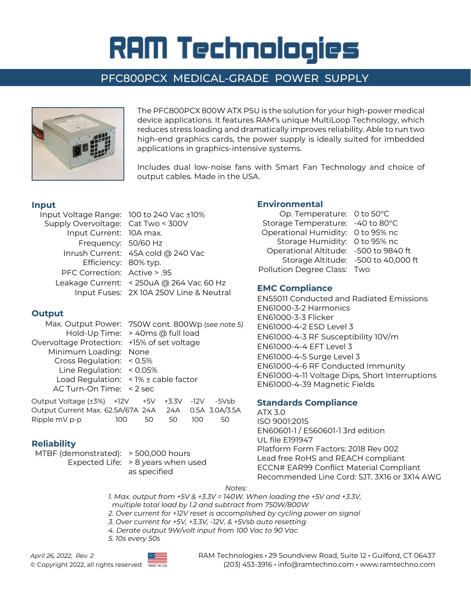# **RAM Technologies**

# PFC800PCX MEDICAL-GRADE POWER SUPPLY



The PFC800PCX 800W ATX PSU is the solution for your high-power medical device applications. It features RAM's unique MultiLoop Technology, which reduces stress loading and dramatically improves reliability. Able to run two high-end graphics cards, the power supply is ideally suited for imbedded applications in graphics-intensive systems.

Includes dual low-noise fans with Smart Fan Technology and choice of output cables. Made in the USA.

#### **Input**

| Input Voltage Range: 100 to 240 Vac ±10% |                                          |
|------------------------------------------|------------------------------------------|
| Supply Overvoltage: Cat Two < 300V       |                                          |
| Input Current: 10A max.                  |                                          |
| Frequency: 50/60 Hz                      |                                          |
|                                          | Inrush Current: 45A cold @ 240 Vac       |
| Efficiency: 80% typ.                     |                                          |
| PFC Correction: Active > .95             |                                          |
|                                          | Leakage Current: < 250uA @ 264 Vac 60 Hz |
|                                          | Input Fuses: 2X 10A 250V Line & Neutral  |

## **Output**

Max. Output Power: 750W cont. 800Wp (*see note 5)* Hold-Up Time: > 40ms @ full load Overvoltage Protection: +15% of set voltage Minimum Loading: None Cross Regulation: < 0.5% Line Regulation: < 0.05% Load Regulation: < 1% ± cable factor AC Turn-On Time: < 2 sec

Output Voltage (±3%) +12V +5V +3.3V -12V -5Vsb Output Current Max. 62.5A/67A 24A 24A 0.5A 3.0A/3.5A Ripple mV p-p 100 50 50 100 50

## **Reliability**

MTBF (demonstrated): > 500,000 hours Expected Life: > 8 years when used as specified

## **Environmental**

| Op. Temperature: 0 to 50 °C           |  |
|---------------------------------------|--|
| Storage Temperature: -40 to 80°C      |  |
| Operational Humidity: 0 to 95% nc     |  |
| Storage Humidity: 0 to 95% nc         |  |
| Operational Altitude: -500 to 9840 ft |  |
| Storage Altitude: -500 to 40,000 ft   |  |
| Pollution Degree Class: Two           |  |
|                                       |  |

#### **EMC Compliance**

EN55011 Conducted and Radiated Emissions EN61000-3-2 Harmonics EN61000-3-3 Flicker EN61000-4-2 ESD Level 3 EN61000-4-3 RF Susceptibility 10V/m EN61000-4-4 EFT Level 3 EN61000-4-5 Surge Level 3 EN61000-4-6 RF Conducted Immunity EN61000-4-11 Voltage Dips, Short Interruptions EN61000-4-39 Magnetic Fields

#### **Standards Compliance**

ATX 3.0 ISO 9001:2015 EN60601-1 / ES60601-1 3rd edition UL file E191947 Platform Form Factors: 2018 Rev 002 Lead free RoHS and REACH compliant ECCN# EAR99 Conflict Material Compliant Recommended Line Cord: SJT, 3X16 or 3X14 AWG

*Notes:*

*1. Max. output from +5V & +3.3V = 140W. When loading the +5V and +3.3V, multiple total load by 1.2 and subtract from 750W/800W*

*2. Over current for +12V reset is accomplished by cycling power on signal*

- *3. Over current for +5V, +3.3V, -12V, & +5Vsb auto resetting*
- *4. Derate output 9W/volt input from 100 Vac to 90 Vac*
- *5. 10s every 50s*



*April 26, 2022, Rev. 2* RAM Technologies **·** 29 Soundview Road, Suite 12 **·** Guilford, CT 06437 © Copyright 2022, all rights reserved (203) 453-3916 **·** info@ramtechno.com **·** [www.ramtechno.com](http://www.ramtechno.com/)